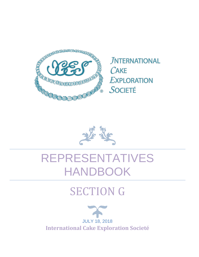

**JNTERNATIONAL** CAKE **EXPLORATION** SOCIETÉ

# REPRESENTATIVES HANDBOOK

## SECTION G

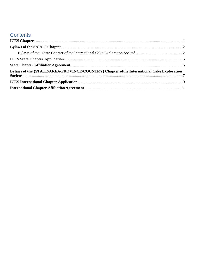## **Contents**

| Bylaws of the (STATE/AREA/PROVINCE/COUNTRY) Chapter of the International Cake Exploration |  |
|-------------------------------------------------------------------------------------------|--|
|                                                                                           |  |
|                                                                                           |  |
|                                                                                           |  |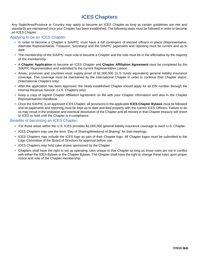## **ICES Chapters**

<span id="page-2-0"></span>Any State/Area/Province or Country may apply to become an ICES Chapter as long as certain guidelines are met and standards are maintained once your Chapter has been established. The following steps must be followed in order to become an ICES Chapter.

#### Applying to be an ICES Chapter:

- In order to become a Chapter a S/A/P/C must have a full contingent of elected officers in place (Representative, Alternate Representative, Treasurer, Secretary) and the S/A/P/C paperwork and reporting must be current and up to date.
- The membership of the S/A/P/C must vote to become a Chapter and the vote must be in the affirmative by the majority of the membership.
- A **Chapter Application** to become an ICES Chapter and **Chapter Affiliation Agreement** must be completed by the S/A/P/C Representative and submitted to the current Representative Liaison.
- Areas, provinces and countries must supply proof of \$1,000,000 (U.S. funds equivalent) general liability insurance coverage. This coverage must be maintained by the International Chapter in order to continue their Chapter status. (International Chapters only)
- After the application has been approved, the newly established Chapter should apply for an EIN number through the Internal Revenue Service. (U.S. Chapters only)
- Keep a copy of signed Chapter Affiliation Agreement on file with your Chapter information and also in the Chapter Representatives Handbook.
- Once the S/A/P/C is anapproved ICES Chapter,all provisions intheapplicable **ICES Chapter Bylaws** must be followed and all paperwork and reporting must be kept up to date and filed properly with the correct ICES Officers. Failure to do so may result in the probation and eventual dissolution of the Chapter and all monies in that Chapter treasury will revert to ICES to hold until the Chapter is incompliance.

#### Benefits of becoming an ICES Chapter:

- For those areas within the U.S. ICES provides \$1,000,000 general liability insurance coverage to each U.S. Chapter.
- ICES Chapters may use the term "Day of Sharing/Weekend of Sharing" for their meetings.
- ICES Chapters may include the ICES logo as part of their Chapter logo. All Chapter logos must be submitted to the Logo Committee of the Board of Directors for approval before use.
- ICES Chapters may hold cake shows sponsored by the Chapter.
- Chapters shall have the right to set up operating rules unique to that Chapter as long as those rules are not in conflict with either the ICES Bylaws or the Chapter Bylaws. The Chapter shall have the right to change these rules upon proper notice and vote of the Chapter membership.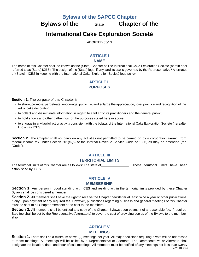**Bylaws of the SAPCC Chapter**

<span id="page-3-1"></span><span id="page-3-0"></span>**Bylaws** of the <u>state</u> Chapter of the

**International Cake Exploration Societé**

ADOPTED 05/13

#### **ARTICLE I**

#### **NAME**

The name of this Chapter shall be known as the (State) Chapter of The International Cake Exploration Societé (herein after referred to as (State) ICES). The design of the (State) logo, if any, andits use is governed by the Representative / Alternates of (State) ICES in keeping with the International Cake Exploration Societé logo policy.

#### **ARTICLE II PURPOSES**

**Section 1.** The purpose of this Chapter is:

- to share, promote, perpetuate, encourage, publicize, and enlarge the appreciation, love, practice and recognition of the art of cake decorating;
- to collect and disseminate information in regard to said art to its practitioners and the general public;
- to hold shows and other gatherings for the purposes stated here in above;
- to engage in any lawful act or activity consistent with the bylaws of the International Cake Exploration Societé (hereafter known as ICES).

**Section 2.** The Chapter shall not carry on any activities not permitted to be carried on by a corporation exempt from federal income tax under Section 501(c)(6) of the Internal Revenue Service Code of 1986, as may be amended (the "Code").

#### **ARTICLE III**

#### **TERRITORIAL LIMITS**

The territorial limits of this Chapter are as follows: The state of . These territorial limits have been established by ICES.

#### **ARTICLE IV**

#### **MEMBERSHIP**

**Section 1.** Any person in good standing with ICES and residing within the territorial limits provided by these Chapter Bylaws shall be considered a member.

**Section 2.** All members shall have the right to receive the Chapter newsletter at least twice a year or other publications, if any, upon payment of any required fee. However, publications regarding business and general meetings of this Chapter must be sent to all Chapter members at no cost to the members.

**Section 3.** All members shall be entitled to a copy of the Chapter Bylaws upon payment of a reasonable fee, if required. Said fee shall be set by the Representative/Alternate(s) to cover the cost of providing copies of the Bylaws to the membership.

#### **ARTICLE V MEETINGS**

7/2018 **G-2** Section 1. There shall be a minimum of two (2) meetings per year. All major decisions requiring a vote will be addressed at these meetings. All meetings will be called by a Representative or Alternate. The Representative or Alternate shall designate the location, date, and hour of said meetings. All members must be notified of any meetings not less than twenty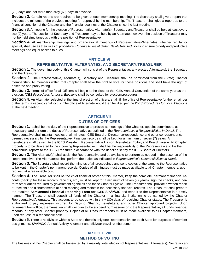(20) days and not more than sixty (60) days in advance.

**Section 2.** Certain reports are required to be given at each membership meeting. The Secretary shall give a report that includes the minutes of the previous meeting for approval by the membership. The Treasurer shall give a report as to the financial condition of the Chapter and the financial dealings of the Chapter since the last meeting.

**Section 3.** A meeting for the election of Representative, Alternate(s), Secretary and Treasurer shall be held at least every two (2) years. The position of Secretary and Treasurer may be held by an Alternate; however, the position of Treasurer may not be held simultaneously with the position of Representative.

**Section 4.** All membership meetings and organizational meetings of Representatives/Alternates, whether regular or special, shall use as their rules of procedure, *Robert's Rules of Order, Newly Revised*, so as to ensure orderly and productive meetings and equal access to rules.

#### **ARTICLE VI**

#### **REPRESENTATIVE, ALTERNATES, AND SECRETARY/TREASURER**

**Section 1.** The governing body of this Chapter will consist of the Representative, any elected Alternate(s), the Secretary and the Treasurer.

**Section 2.** The Representative, Alternate(s), Secretary and Treasurer shall be nominated from the (State) Chapter membership. All members within that Chapter shall have the right to vote for these positions and shall have the right of absentee and proxy voting.

**Section 3.** Terms of office for all Officers will begin at the close of the ICES Annual Convention of the same year as the election. *ICES Procedures for Local Elections* shall be consulted for electionprocedures.

**Section 4.** An Alternate, selected at the time of election of officers, shall fill the office of Representative for the remainder of the term if a vacancy shall occur. The office of Alternate would then be filled per the *ICES Procedures for Local Elections* at the next meeting.

#### **ARTICLE VII DUTIES OF OFFICERS**

**Section 1.** It shall be the duty of the Representative to preside at meetings of the Chapter, appoint committees, as necessary, and perform the duties of Representative as outlined in the *Representative's Responsibilities in Detail*. The Representative shall maintain copies of all minutes, ICES Board of Director correspondence and other correspondence deemed necessary by the Representative. Financial records shall be kept for a minimum of seven (7) years. All newsletters shall be sent to the ICES President, Representative Liaison, Newsletter Editor, and Board Liaison. All Chapter property is to be delivered to the incoming Representative. It shall be the responsibility of the Representative to file the semiannual reports to the ICES Treasurer in accordance with the deadline set by the ICES Board of Directors.

**Section 2.** The Alternate(s) shall assist the Representative and be available to perform as needed in the absence of the Representative. The Alternate(s) shall perform the duties as indicated in *Representative's Responsibilities in Detail*.

**Section 3.** The Secretary shall record the minutes of all proceedings and send copies of the same to the Representative to be kept in the Chapter's permanent records. Copies of all minutes must be made available to all Chapter members, upon request, at a reasonable cost.

**Section 4.** The Treasurer shall be the chief financial officer of this Chapter, keep the complete, permanent financial records (backup for these records, receipts, etc., must be kept for a minimum of seven (7) years), sign the checks, and perform other duties required by government agencies and these Chapter Bylaws. The Treasurer shall provide a written report of receipts and disbursements at each meeting and maintain the necessary financial records. The Treasurer shall prepare the required **Semiannual Financial Reporting Form for ICES S/A/P/C/C** and send it to the Representative in a timely manner. The Treasurer shall deposit all funds of the Chapter in a financial institution to be named by the Chapter Representative/Alternates. This account to be set up within thirty (30) days of receiving Chapter status. The Treasurer is authorized to pay expenses incurred for Days of Sharing, newsletters, and other Chapter approved projects. Upon retirement from office, the Treasurer shall turn over to the succeeding Treasurer or to the Representative, all funds, financial records, or any other Chapter property. Copies of all Treasurer reports must be made available to all Chapter members, upon request, at a reasonable cost.

**Section 5.** There is no division within a State and there is only one Representative for each State for purposes of member assignments, S/A/P/C/C Annual Activity Allotment and Midyear travel reimbursement.

#### **ARTICLE VIII METHOD OF VOTING**

The business of this Chapter shall be transacted by a majority vote; election of Representatives, Alternate(s), Secretary and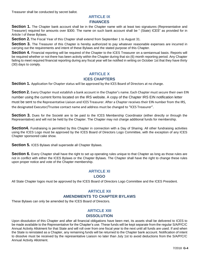Treasurer shall be conducted by secret ballot.

#### **ARTICLE IX FINANCES**

**Section 1.** The Chapter bank account shall be in the Chapter name with at least two signatures (Representative and Treasurer) required for amounts over \$300. The name on such bank account shall be " (State) ICES" as provided for in Article I of these Bylaws.

**Section 2.**The Fiscal Year of this Chapter shall extend from September 1 to August 31.

**Section 3.** The Treasurer of this Chapter is hereby authorized to pay whatever reasonable expenses are incurred in carrying out the requirements and intent of these Bylaws and the stated purpose of this Chapter.

**Section 4.** Financial reporting will be required of the Chapter to the ICES Treasurer on a semiannual basis. Reports will be required whether or not there has been activity within the Chapter during that six (6) month reporting period. Any Chapter failing to meet required financial reporting during any fiscal year will be notified in writing on October 1st that they have thirty (30) days to comply.

#### **ARTICLE X ICES CHAPTERS**

**Section 1.** Application for Chapter status will be approved by the ICES Board of Directors at no charge.

**Section 2.** Every Chapter must establish a bank account in the Chapter's name. Each Chapter must secure their own EIN number using the current forms located on the IRS website. A copy of the Chapter IRS EIN notification letter must be sent to the Representative Liaison and ICES Treasurer. After a Chapter receives their EIN number from the IRS, the designated Executor/Trustee contact name and address must be changed to "ICES Treasurer".

**Section 3.** Dues for the Societé are to be paid to the ICES Membership Coordinator (either directly or through the Representative) and will not be held by the Chapter. The Chapter may not charge additional funds for membership.

**Section4.** Fundraising is permitted by this Chapter in connection with a Day of Sharing. All other fundraising activities using the ICES Logo must be approved by the ICES Board of Directors Logo Committee, with the exception of any ICES Chapter sponsored cake show.

**Section 5.** ICES Bylaws shall supersede all Chapter Bylaws.

**Section 6.** Every Chapter shall have the right to set up operating rules unique to that Chapter as long as those rules are not in conflict with either the ICES Bylaws or the Chapter Bylaws. The Chapter shall have the right to change these rules upon proper notice and vote of the Chapter membership.

#### **ARTICLE XI**

#### **LOGO**

All State Chapter logos must be approved by the ICES Board of Directors Logo Committee and the ICES President.

#### **ARTICLE XII AMENDMENTS TO CHAPTER BYLAWS**

These Bylaws can only be amended by the ICES Board of Directors.

#### **ARTICLE XIII**

#### **DISSOLUTION**

Upon dissolution of this Chapter and after all financial obligations have been met, its assets shall be delivered to ICES to be made available to the Representative for the Chapter's use. These funds will be kept separate from the regular S/A/P/C/C Annual Activity Allotment for that State and will roll over from one fiscal year to the next until all funds are used. If and when the State is reinstated as a Chapter, any remaining funds will be returned to the Chapter bank account. Notification of intent to dissolve must be received by the representative Liaison no later than July 1st to avoid deductions from the S/A/P/C/C Annual Activity Allotment.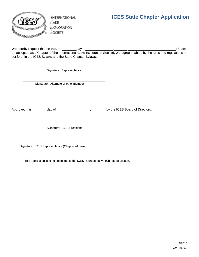

**JNTERNATIONAL**  $C$ AKE **EXPLORATION** SOCIETÉ

## <span id="page-6-0"></span>**ICES State Chapter Application**

We hereby request that on this, the day of , , (State) be accepted as a Chapter of the International Cake Exploration Societé. We agree to abide by the rules and regulations as set forth in the ICES Bylaws and the State Chapter Bylaws.

Signature: Representative

Signature: Alternate or other member

Approved this day of , by the ICES Board of Directors.

Signature: ICES President

Signature: ICES Representative (Chapters) Liaison

This application is to be submitted to the ICES Representative (Chapters) Liaison.

8/2015 7/2018 **G-5**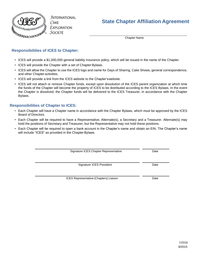

JNTERNATIONAL  $C$ AKE **EXPLORATION**  $S$ ocieté

## <span id="page-7-0"></span>**State Chapter Affiliation Agreement**

Chapter Name

#### **Responsibilities of ICES to Chapter:**

- ICES will provide a \$1,000,000 general liability insurance policy, which will be issued in the name of the Chapter.
- ICES will provide the Chapter with a set of Chapter Bylaws.
- ICES will allow the Chapter to use the ICES logo and name for Days of Sharing, Cake Shows, general correspondence, and other Chapter activities.
- ICES will provide a link from the ICES website to the Chapter'swebsite.
- ICES will not attach or remove Chapter funds, except upon dissolution of the ICES parent organization at which time the funds of the Chapter will become the property of ICES to be distributed according to the ICES Bylaws. In the event the Chapter is dissolved, the Chapter funds will be delivered to the ICES Treasurer, in accordance with the Chapter Bylaws.

#### **Responsibilities of Chapter to ICES:**

- Each Chapter will have a Chapter name in accordance with the Chapter Bylaws, which must be approved by the ICES Board of Directors.
- Each Chapter will be required to have a Representative, Alternate(s), a Secretary and a Treasurer. Alternate(s) may hold the positions of Secretary and Treasurer, but the Representative may not hold these positions.
- Each Chapter will be required to open a bank account in the Chapter's name and obtain an EIN. The Chapter's name will include "ICES" as provided in the Chapter Bylaws.

Signature ICES Chapter Representative **Date** Date

Signature ICES President **Date** Date

ICES Representative (Chapters) Liaison Date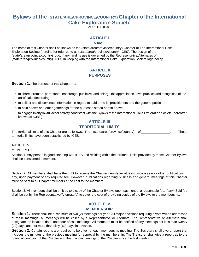#### <span id="page-8-0"></span>**Bylaws of the (STATE/AREA/PROVINCE/COUNTRY) Chapter ofthe International Cake Exploration Societé** ADOPTED 06/01

#### **ARTICLE I**

#### **NAME**

The name of this Chapter shall be known as the (state/area/province/country) Chapter of The International Cake Exploration Societé (hereinafter referred to as (state/area/province/country) ICES). The design of the (state/area/province/country) logo, if any, and its use is governed by the Representative/Alternates of (state/area/province/country) ICES in keeping with the International Cake Exploration Societé logo policy.

#### **ARTICLE II PURPOSES**

**Section 1.** The purpose of this Chapter is:

- to share, promote, perpetuate, encourage, publicize, and enlarge the appreciation, love, practice and recognition of the art of cake decorating;
- to collect and disseminate information in regard to said art to its practitioners and the general public;
- to hold shows and other gatherings for the purposes stated herein above;
- to engage in any lawful act or activity consistent with the Bylaws of the International Cake Exploration Societé (hereafter known as ICES.)

#### **ARTICLE III**

#### **TERRITORIAL LIMITS**

The territorial limits of this Chapter are as follows: The (state/area/province/country) of . These territorial limits have been established by ICES.

ARTICLE IV

MEMBERSHIP

Section 1. Any person in good standing with ICES and residing within the territorial limits provided by these Chapter Bylaws shall be considered a member.

Section 2. All members shall have the right to receive the Chapter newsletter at least twice a year or other publications, if any, upon payment of any required fee. However, publications regarding business and general meetings of this Chapter must be sent to all Chapter members at no cost to the members.

Section 3. All members shall be entitled to a copy of the Chapter Bylaws upon payment of a reasonable fee, if any. Said fee shall be set by the Representative/Alternate(s) to cover the cost of providing copies of the Bylaws to the membership.

#### **ARTICLE IV MEMBERSHIP**

**Section 1.** There shall be a minimum of two (2) meetings per year. All major decisions requiring a vote will be addressed at these meetings. All meetings will be called by a Representative or Alternate. The Representative or Alternate shall designate the location, date, and hour of said meetings. All members must be notified of any meetings not less than twenty (20) days and not more than sixty (60) days in advance.

**Section 2.** Certain reports are required to be given at each membership meeting. The Secretary shall give a report that includes the minutes of the previous meeting for approval by the membership. The Treasurer shall give a report as to the financial condition of the Chapter and the financial dealings of the Chapter since the last meeting.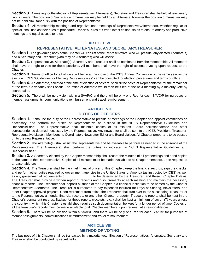**Section 3.** A meeting for the election of Representative, Alternate(s), Secretary and Treasurer shall be held at least every two (2) years. The position of Secretary and Treasurer may be held by an Alternate; however the position of Treasurer may not be held simultaneously with the position of Representative.

**Section 4.** All membership meetings and organizational meetings of Representatives/Alternate(s), whether regular or special, shall use as their rules of procedure, Robert's Rules of Order, latest edition, so as to ensure orderly and productive meetings and equal access to rules.

#### **ARTICLE VI**

#### **REPRESENTATIVE, ALTERNATES, AND SECRETARY/TREASURER**

**Section 1.** The governing body of the Chapter will consist of the Representative, who will preside, any elected Alternate(s) and a Secretary and Treasurer (who may be Alternates) who will assist.

**Section 2.** Representative, Alternate(s), Secretary and Treasurer shall be nominated from the membership. All members shall have the right to vote for these positions. All members shall have the right of absentee voting upon request to the Chapter.

**Section 3.** Terms of office for all officers will begin at the close of the ICES Annual Convention of the same year as the election. ICES "Guidelines for Electing Representatives" can be consulted for election procedures and terms of office.

**Section 4.** An Alternate, selected at the time of election of officers, shall fill the office of Representative for the remainder of the term if a vacancy shall occur. The office of Alternate would then be filled at the next meeting by a majority vote by secret ballot.

**Section 5.** There will be no division within a S/A/P/C and there will be only one Rep for each S/A/C/P for purposes of member assignments, communications reimbursement and travel reimbursement.

#### **ARTICLE VII DUTIES OF OFFICERS**

**Section 1.** It shall be the duty of the Representative to preside at meetings of the Chapter and appoint committees as necessary, and perform the duties of Representative as outlined in the "ICES Representative Guidelines and Responsibilities". The Representative shall maintain copies of all minutes, Board correspondence and other correspondence deemed necessary by the Representative. Any newsletter shall be sent to the ICES President, Treasurer, Representative Liaison, Membership Coordinator, Newsletter Editor and Board Liaison. All Chapter property is to be passed on to the new Representative.

**Section 2.** The Alternate(s) shall assist the Representative and be available to perform as needed in the absence of the Representative. The Alternate(s) shall perform the duties as indicated in "ICES Representative Guidelines and Responsibilities."

**Section 3.** A Secretary elected by the Chapter membership shall record the minutes of all proceedings and send copies of the same to the Representative. Copies of all minutes must be made available to all Chapter members, upon request, at a reasonable cost.

**Section 4.** The Treasurer shall be the chief financial officer of this Chapter, keep the financial records, sign the checks, and perform other duties required by government agencies in the United States of America (as instructed by ICES) as well as any governmental requirements of the be determined by the Treasurer, and these Chapter Bylaws. The Treasurer shall provide a written report of receipts and disbursements at each meeting and maintain the necessary financial records. The Treasurer shall deposit all funds of the Chapter in a financial institution to be named by the Chapter Representative/Alternates. The Treasurer is authorized to pay expenses incurred for Days of Sharing, newsletters, and other Chapter approved projects. Upon retirement from office, the Treasurer shall turn over to the succeeding Treasurer or to the Representative, all funds, financial records, or any other Chapter property. Treasurer's reports shall be kept in the Chapter's permanent records. Backup for these reports (receipts, etc.,) shall be kept a minimum of seven (7) years unless the country in which this Chapter is established requires such documentation be kept for a longer period of time. Copies of all the treasurer's reports must be made available to all Chapter members, upon request, at a reasonable cost.

**Section 5.** There will be no division within a S/A/P/C and there will be only one Rep for each S/A/C/P for purposes of member assignments, communications reimbursement and travel reimbursement.

#### **ARTICLE VIII METHOD OF VOTING**

The business of this Chapter shall be transacted by a majority vote. Election of Representatives, Alternates, Secretary and Treasurer shall be conducted by secret ballot.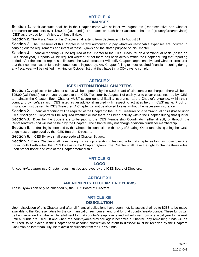#### **ARTICLE IX FINANCES**

**Section 1.** Bank accounts shall be in the Chapter name with at least two signatures (Representative and Chapter Treasurer) for amounts over \$300.00 (US Funds). The name on such bank accounts shall be " (country/area/province) ICES" as provided for in Article 1 of these Bylaws.

**Section 2.** The Fiscal Year of this Chapter shall extend from September 1 to August 31.

**Section 3.** The Treasurer of this Chapter is hereby authorized to pay whatever reasonable expenses are incurred in carrying out the requirements and intent of these Bylaws and the stated purpose of this Chapter.

**Section 4.** Financial reporting will be required of the Chapter to the ICES Treasurer on a semiannual basis (based on ICES fiscal year). Reports will be required whether or not there has been activity within the Chapter during that reporting period. After the second report is delinquent, the ICES Treasurer will notify Chapter Representative and Chapter Treasurer that their communication fund reimbursement is in jeopardy. Any Chapter failing to meet required financial reporting during any fiscal year will be notified in writing on October 1st that they have thirty (30) days to comply.

#### **ARTICLE X**

#### **ICES INTERNATIONAL CHAPTERS**

**Section 1.** Application for Chapter status will be approved by the ICES Board of Directors at no charge. There will be a \$25.00 (US Funds) fee per year payable to the ICES Treasurer by August 1 of each year to cover costs incurred by ICES to maintain the Chapter. Each Chapter MUST secure general liability insurance, at the Chapter's expense, within their country/ province/area with ICES listed as an additional insured with respect to activities held in ICES' name. Proof of insurance must be sent to ICES Treasurer. A Chapter will not be allowed to exist without the necessary insurance.

**Section 2.** Financial reporting will be required of the Chapter to the ICES Treasurer on a semi-annual basis (based upon ICES fiscal year). Reports will be required whether or not there has been activity within the Chapter during that quarter. **Section 3.** Dues for the Societé are to be paid to the ICES Membership Coordinator (either directly or through the Representative) and will not be held by the Chapter. The Chapter may not charge additional funds for membership.

**Section 5**. Fundraising is permitted by this Chapter in connection with a Day of Sharing. Other fundraising using the ICES Logo must be approved by the ICES Board of Directors.

**Section 6.** ICES Bylaws shall supersede all Chapter Bylaws.

**Section 7.** Every Chapter shall have the right to set up operating rules unique to that chapter as long as those rules are not in conflict with either the ICES Bylaws or the Chapter Bylaws. The Chapter shall have the right to change these rules upon proper notice and vote of the Chapter membership.

#### **ARTICLE XI**

#### **LOGO**

All country/area/province Chapter logos must be approved by the ICES Board of Directors.

#### **ARTICLE XII**

#### **AMENDMENTS TO CHAPTER BYLAWS**

These Bylaws can only be amended by the ICES Board of Directors.

#### **ARTICLE XIII DISSOLUTION**

Upon dissolution of this Chapter and after all financial obligations have been met, its assets shall go to ICES to be made available to the Representative for the communication reimbursement fund for that country/area/province. These funds will be kept separate from the regular allotment for that country/area/province and will roll over from one fiscal year to the next until all funds are used. If and when the country/area/province again becomes a Chapter, any remaining funds will be returned, to be placed in the Chapter bank account. Notification of intent to dissolve must be received by the Chapters Chairman no later than July 1st to avoid deductions from the Rep's funds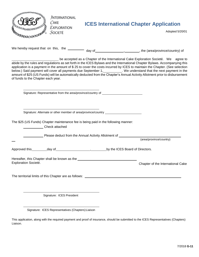<span id="page-11-0"></span>

| <b>JNTERNATIONAL</b><br>CAKE<br>Exploration<br>SOCIETÉ                                                                                                                                                                                                                                                                                                                                                                                                                                                                                                                                                                                      | <b>ICES International Chapter Application</b><br>Adopted 5/20/01                                                                                                                                                                                                          |  |
|---------------------------------------------------------------------------------------------------------------------------------------------------------------------------------------------------------------------------------------------------------------------------------------------------------------------------------------------------------------------------------------------------------------------------------------------------------------------------------------------------------------------------------------------------------------------------------------------------------------------------------------------|---------------------------------------------------------------------------------------------------------------------------------------------------------------------------------------------------------------------------------------------------------------------------|--|
|                                                                                                                                                                                                                                                                                                                                                                                                                                                                                                                                                                                                                                             | We hereby request that on this, the ___________ day of ________________________, the (area/province/country) of                                                                                                                                                           |  |
| be accepted as a Chapter of the International Cake Exploration Societé. We agree to<br>abide by the rules and regulations as set forth in the ICES Bylaws and the International Chapter Bylaws. Accompanying this<br>application is a payment in the amount of \$25 to cover the costs incurred by ICES to maintain the Chapter. (See selection<br>below.) Said payment will cover all payments due September 1,__________. We understand that the next payment in the<br>amount of \$25 (US Funds) will be automatically deducted from the Chapter's Annual Activity Allotment prior to disbursement<br>of funds to the Chapter each year. |                                                                                                                                                                                                                                                                           |  |
|                                                                                                                                                                                                                                                                                                                                                                                                                                                                                                                                                                                                                                             | Signature: Representative from the area/province/country of ____________________                                                                                                                                                                                          |  |
| Signature: Alternate or other member of area/province/country __________________                                                                                                                                                                                                                                                                                                                                                                                                                                                                                                                                                            |                                                                                                                                                                                                                                                                           |  |
| The \$25 (US Funds) Chapter maintenance fee is being paid in the following manner:<br>Check attached                                                                                                                                                                                                                                                                                                                                                                                                                                                                                                                                        |                                                                                                                                                                                                                                                                           |  |
|                                                                                                                                                                                                                                                                                                                                                                                                                                                                                                                                                                                                                                             | Please deduct from the Annual Activity Allotment of _________                                                                                                                                                                                                             |  |
|                                                                                                                                                                                                                                                                                                                                                                                                                                                                                                                                                                                                                                             | (area/province/country)                                                                                                                                                                                                                                                   |  |
|                                                                                                                                                                                                                                                                                                                                                                                                                                                                                                                                                                                                                                             |                                                                                                                                                                                                                                                                           |  |
| Exploration Societé.                                                                                                                                                                                                                                                                                                                                                                                                                                                                                                                                                                                                                        | Hereafter, this Chapter shall be known as the <b>contract the contract of the state of the contract of the contract of the contract of the contract of the contract of the contract of the contract of the contract of the contr</b><br>Chapter of the International Cake |  |
|                                                                                                                                                                                                                                                                                                                                                                                                                                                                                                                                                                                                                                             |                                                                                                                                                                                                                                                                           |  |
| Signature: ICES President                                                                                                                                                                                                                                                                                                                                                                                                                                                                                                                                                                                                                   |                                                                                                                                                                                                                                                                           |  |

This application, along with the required payment and proof of insurance, should be submitted to the ICES Representatives (Chapters) Liaison.

Signature: ICES Representatives (Chapters)Liaison